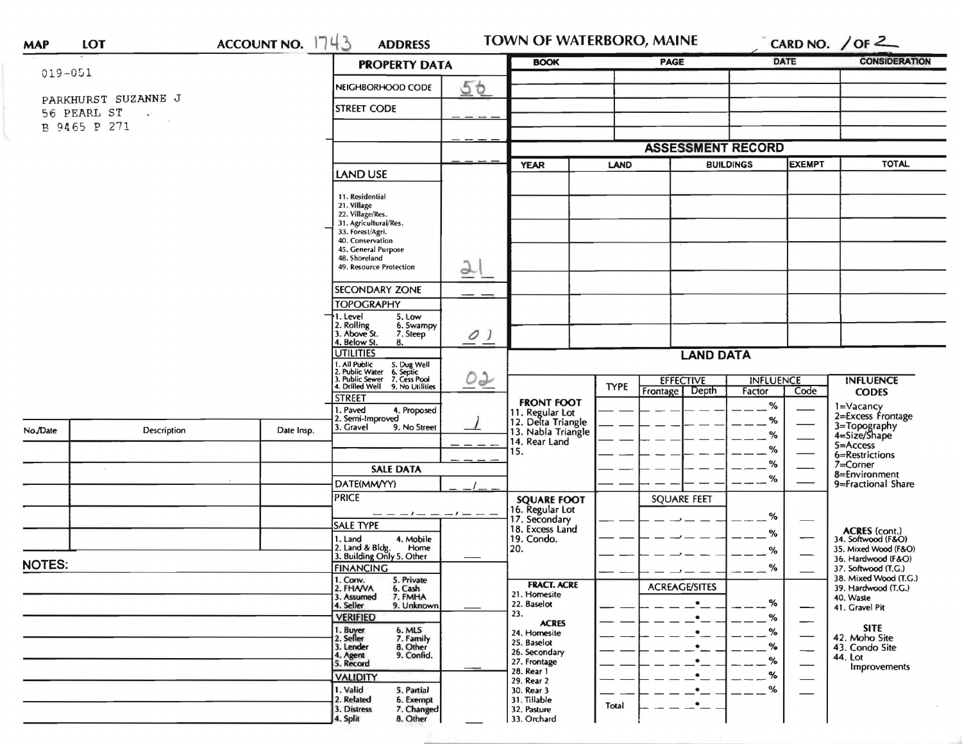| <b>MAP</b>    | <b>LOT</b>                                               | ACCOUNT NO. $1743$ | <b>ADDRESS</b>                                                                                                                        |                            | TOWN OF WATERBORO, MAINE                                   |             |                                               |                              |                                                                                     | CARD NO. / OF $2$                                                           |  |
|---------------|----------------------------------------------------------|--------------------|---------------------------------------------------------------------------------------------------------------------------------------|----------------------------|------------------------------------------------------------|-------------|-----------------------------------------------|------------------------------|-------------------------------------------------------------------------------------|-----------------------------------------------------------------------------|--|
| $019 - 051$   |                                                          |                    | <b>PROPERTY DATA</b>                                                                                                                  |                            | <b>BOOK</b>                                                |             | <b>PAGE</b>                                   |                              | <b>DATE</b>                                                                         | <b>CONSIDERATION</b>                                                        |  |
|               |                                                          |                    | NEIGHBORHOOD CODE                                                                                                                     | 50                         |                                                            |             |                                               |                              |                                                                                     |                                                                             |  |
|               | PARKHURST SUZANNE J<br>56 PEARL ST<br>$\mathbf{v}^{(k)}$ |                    | <b>STREET CODE</b>                                                                                                                    |                            |                                                            |             |                                               |                              |                                                                                     |                                                                             |  |
| B 9465 P 271  |                                                          |                    |                                                                                                                                       |                            |                                                            |             |                                               |                              |                                                                                     |                                                                             |  |
|               |                                                          |                    | <b>LAND USE</b>                                                                                                                       |                            | <b>ASSESSMENT RECORD</b>                                   |             |                                               |                              |                                                                                     |                                                                             |  |
|               |                                                          |                    |                                                                                                                                       |                            | <b>YEAR</b><br><b>LAND</b>                                 |             | <b>BUILDINGS</b>                              |                              | <b>EXEMPT</b>                                                                       | <b>TOTAL</b>                                                                |  |
|               |                                                          |                    | 11. Residential<br>21. Village<br>22. Village/Res.<br>31. Agricultural/Res.                                                           |                            |                                                            |             |                                               |                              |                                                                                     |                                                                             |  |
|               |                                                          |                    | 33. Forest/Agri.<br>40. Conservation<br>45. General Purpose<br>48. Shoreland                                                          |                            |                                                            |             |                                               |                              |                                                                                     |                                                                             |  |
|               |                                                          |                    | $\overline{2}$<br>49. Resource Protection                                                                                             |                            |                                                            |             |                                               |                              |                                                                                     |                                                                             |  |
|               |                                                          |                    | <b>SECONDARY ZONE</b><br><b>TOPOGRAPHY</b>                                                                                            |                            |                                                            |             |                                               |                              |                                                                                     |                                                                             |  |
|               |                                                          |                    | 1. Level<br>5. Low<br>2. Rolling<br>3. Above St.<br>6. Swampy<br>7. Steep<br>4. Below St.<br>8.                                       | $\overline{\mathcal{O}}$ ) |                                                            |             |                                               |                              |                                                                                     |                                                                             |  |
|               |                                                          |                    | <b>UTILITIES</b>                                                                                                                      |                            | <b>LAND DATA</b>                                           |             |                                               |                              |                                                                                     |                                                                             |  |
|               |                                                          |                    | 1. All Public<br>2. Public Water<br>3. Public Sewer<br>5. Dug Well<br>6. Septic<br>7. Cess Pool<br>4. Drilled Well<br>9. No Utilities | QQ                         |                                                            | <b>TYPE</b> | <b>EFFECTIVE</b><br><b>INFLUENCE</b><br>Depth |                              |                                                                                     | <b>INFLUENCE</b>                                                            |  |
| No./Date      | <b>Description</b>                                       | Date Insp.         | <b>STREET</b><br>1. Paved<br>4. Proposed<br>2. Semi-Improved<br>3. Gravel<br>9. No Street                                             |                            | <b>FRONT FOOT</b><br>11. Regular Lot<br>12. Delta Triangle |             | Frontage                                      | Factor<br>Code<br>$-$ %<br>% | <b>CODES</b><br>$1 = \sqrt{2}$<br>2=Excess Frontage<br>3=Topography<br>4=Size/Shape |                                                                             |  |
|               |                                                          |                    |                                                                                                                                       |                            | 13. Nabla Triangle<br>14. Rear Land<br>15.                 |             |                                               | $-$ %<br>$-$ %               |                                                                                     | 5=Access                                                                    |  |
|               |                                                          |                    | <b>SALE DATA</b>                                                                                                                      |                            |                                                            |             |                                               | $-$ %                        |                                                                                     | 6=Restrictions<br>7=Corner                                                  |  |
|               |                                                          |                    | DATE(MM/YY)                                                                                                                           |                            |                                                            |             |                                               | $\overline{\phantom{a}}\%$   |                                                                                     | 8=Environment<br>9=Fractional Share                                         |  |
|               |                                                          |                    | <b>PRICE</b><br>$-1$ $  -$                                                                                                            |                            | <b>SQUARE FOOT</b><br>16. Regular Lot                      |             | <b>SQUARE FEET</b>                            |                              |                                                                                     |                                                                             |  |
|               |                                                          |                    | SALE TYPE                                                                                                                             |                            | 17. Secondary<br>18. Excess Land                           |             |                                               | %<br>$\%$                    |                                                                                     | ACRES (cont.)<br>34. Softwood (F&O)                                         |  |
|               |                                                          |                    | 1. Land<br>4. Mobile<br>2. Land & Bldg. Home<br>3. Building Only 5. Other                                                             |                            | 19. Condo.<br>20.                                          |             |                                               | %                            |                                                                                     | 35. Mixed Wood (F&O)                                                        |  |
| <b>NOTES:</b> |                                                          |                    | <b>FINANCING</b>                                                                                                                      |                            |                                                            |             |                                               | $\%$                         |                                                                                     | 36. Hardwood (F&O)<br>37. Softwood (T.G.)                                   |  |
|               |                                                          |                    | 1. Conv.<br>2. FHAVA<br>5. Private<br>6. Cash<br>3. Assumed<br>7. FMHA<br>4. Seller<br>9. Unknown                                     |                            | <b>FRACT. ACRE</b><br>21. Homesite<br>22. Baselot          |             | <b>ACREAGE/SITES</b><br>$\bullet$             | %                            | —                                                                                   | 38. Mixed Wood (T.G.)<br>39. Hardwood (T.G.)<br>40. Waste<br>41. Gravel Pit |  |
|               |                                                          |                    | <b>VERIFIED</b>                                                                                                                       | 23.                        | <b>ACRES</b><br>24. Homesite                               |             | $\bullet$ $\_$                                | %<br>$-$ %                   |                                                                                     | <b>SITE</b>                                                                 |  |
|               |                                                          |                    | 1. Buyer<br>2. Seller<br>6. MLS<br>7. Family<br>8. Other<br>3. Lender<br>9. Confid.<br>4. Agent<br>5. Record                          |                            | 25. Baselot<br>26. Secondary<br>27. Frontage               |             | $\bullet$<br>$\bullet$                        | %<br>$-$ %                   |                                                                                     | 42. Moho Site<br>43. Condo Site<br>44. Lot<br>Improvements                  |  |
|               |                                                          |                    | <b>VALIDITY</b><br>1. Valid<br>5. Partial<br>2. Related                                                                               |                            | 28. Rear 1<br>29. Rear 2<br>30. Rear 3<br>31. Tillable     |             | $\bullet$<br>٠                                | %<br>%                       |                                                                                     |                                                                             |  |
|               |                                                          |                    | 6. Exempt<br>7. Changed<br>3. Distress<br>8. Other<br>4. Split                                                                        |                            | 32. Pasture<br>33. Orchard                                 | Total       | $\bullet$                                     |                              |                                                                                     |                                                                             |  |